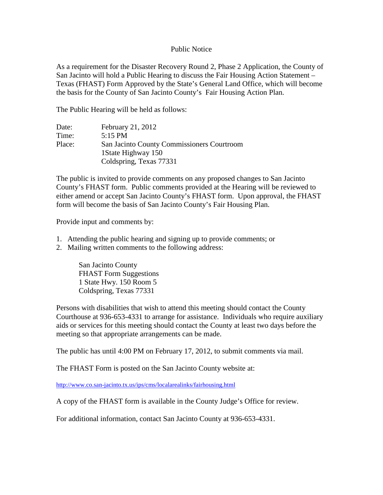## Public Notice

As a requirement for the Disaster Recovery Round 2, Phase 2 Application, the County of San Jacinto will hold a Public Hearing to discuss the Fair Housing Action Statement – Texas (FHAST) Form Approved by the State's General Land Office, which will become the basis for the County of San Jacinto County's Fair Housing Action Plan.

The Public Hearing will be held as follows:

| Date:  | February 21, 2012                          |
|--------|--------------------------------------------|
| Time:  | $5:15 \text{ PM}$                          |
| Place: | San Jacinto County Commissioners Courtroom |
|        | 1 State Highway 150                        |
|        | Coldspring, Texas 77331                    |

The public is invited to provide comments on any proposed changes to San Jacinto County's FHAST form. Public comments provided at the Hearing will be reviewed to either amend or accept San Jacinto County's FHAST form. Upon approval, the FHAST form will become the basis of San Jacinto County's Fair Housing Plan.

Provide input and comments by:

- 1. Attending the public hearing and signing up to provide comments; or
- 2. Mailing written comments to the following address:

San Jacinto County FHAST Form Suggestions 1 State Hwy. 150 Room 5 Coldspring, Texas 77331

Persons with disabilities that wish to attend this meeting should contact the County Courthouse at 936-653-4331 to arrange for assistance. Individuals who require auxiliary aids or services for this meeting should contact the County at least two days before the meeting so that appropriate arrangements can be made.

The public has until 4:00 PM on February 17, 2012, to submit comments via mail.

The FHAST Form is posted on the San Jacinto County website at:

<http://www.co.san-jacinto.tx.us/ips/cms/localarealinks/fairhousing.html>

A copy of the FHAST form is available in the County Judge's Office for review.

For additional information, contact San Jacinto County at 936-653-4331.